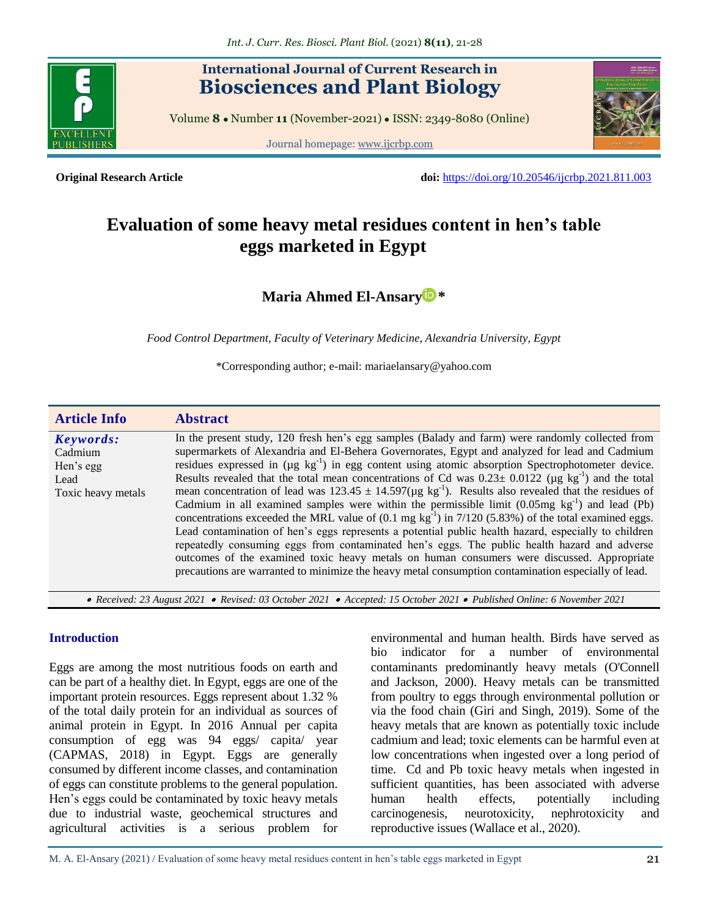

# **International Journal of Current Research in Biosciences and Plant Biology**

Volume **8** ● Number **11** (November-2021) ● ISSN: 2349-8080 (Online)

Journal homepage[: www.ijcrbp.com](http://www.ijcrbp.com/)



**Original Research Article doi:** <https://doi.org/10.20546/ijcrbp.2021.811.003>

# **Evaluation of some heavy metal residues content in hen's table eggs marketed in Egypt**

# **[Maria Ahmed El-Ansary](https://orcid.org/0000-0003-3519-9956) \***

*Food Control Department, Faculty of Veterinary Medicine, Alexandria University, Egypt*

\*Corresponding author; e-mail: mariaelansary@yahoo.com

| <b>Article Info</b>                                             | <b>Abstract</b>                                                                                                                                                                                                                                                                                                                                                                                                                                                                                                                                                                                                                                                                                                                                                                                                                                                                                                                                                                                                                                                                                                                                                                                                 |
|-----------------------------------------------------------------|-----------------------------------------------------------------------------------------------------------------------------------------------------------------------------------------------------------------------------------------------------------------------------------------------------------------------------------------------------------------------------------------------------------------------------------------------------------------------------------------------------------------------------------------------------------------------------------------------------------------------------------------------------------------------------------------------------------------------------------------------------------------------------------------------------------------------------------------------------------------------------------------------------------------------------------------------------------------------------------------------------------------------------------------------------------------------------------------------------------------------------------------------------------------------------------------------------------------|
| Keywords:<br>Cadmium<br>Hen's egg<br>Lead<br>Toxic heavy metals | In the present study, 120 fresh hen's egg samples (Balady and farm) were randomly collected from<br>supermarkets of Alexandria and El-Behera Governorates, Egypt and analyzed for lead and Cadmium<br>residues expressed in $(\mu g \text{ kg}^{-1})$ in egg content using atomic absorption Spectrophotometer device.<br>Results revealed that the total mean concentrations of Cd was $0.23 \pm 0.0122$ (µg kg <sup>-1</sup> ) and the total<br>mean concentration of lead was $123.45 \pm 14.597(\mu g kg^{-1})$ . Results also revealed that the residues of<br>Cadmium in all examined samples were within the permissible limit $(0.05mg \text{ kg}^{-1})$ and lead (Pb)<br>concentrations exceeded the MRL value of $(0.1 \text{ mg kg}^{-1})$ in 7/120 (5.83%) of the total examined eggs.<br>Lead contamination of hen's eggs represents a potential public health hazard, especially to children<br>repeatedly consuming eggs from contaminated hen's eggs. The public health hazard and adverse<br>outcomes of the examined toxic heavy metals on human consumers were discussed. Appropriate<br>precautions are warranted to minimize the heavy metal consumption contamination especially of lead. |
|                                                                 | • Received: 23 August 2021 • Revised: 03 October 2021 • Accepted: 15 October 2021 • Published Online: 6 November 2021                                                                                                                                                                                                                                                                                                                                                                                                                                                                                                                                                                                                                                                                                                                                                                                                                                                                                                                                                                                                                                                                                           |

#### **Introduction**

Eggs are among the most nutritious foods on earth and can be part of a healthy diet. In Egypt, eggs are one of the important protein resources. Eggs represent about 1.32 % of the total daily protein for an individual as sources of animal protein in Egypt. In 2016 Annual per capita consumption of egg was 94 eggs/ capita/ year (CAPMAS, 2018) in Egypt. Eggs are generally consumed by different income classes, and contamination of eggs can constitute problems to the general population. Hen's eggs could be contaminated by toxic heavy metals due to industrial waste, geochemical structures and agricultural activities is a serious problem for

environmental and human health. Birds have served as bio indicator for a number of environmental contaminants predominantly heavy metals (O'Connell and Jackson, 2000). Heavy metals can be transmitted from poultry to eggs through environmental pollution or via the food chain (Giri and Singh, 2019). Some of the heavy metals that are known as potentially toxic include cadmium and lead; toxic elements can be harmful even at low concentrations when ingested over a long period of time. Cd and Pb toxic heavy metals when ingested in sufficient quantities, has been associated with adverse human health effects, potentially including carcinogenesis, neurotoxicity, nephrotoxicity and reproductive issues (Wallace et al., 2020).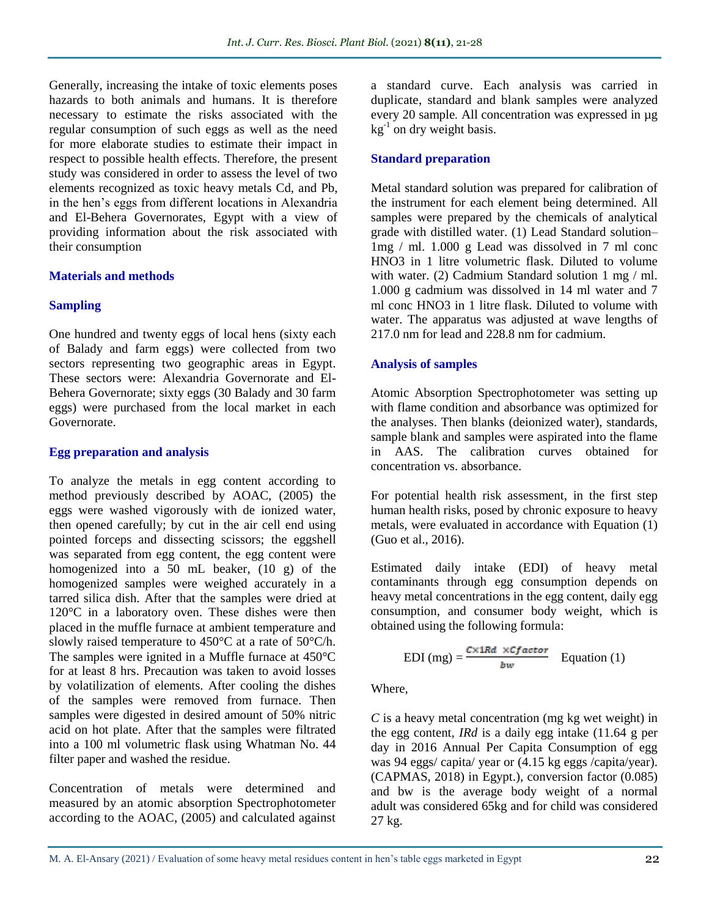Generally, increasing the intake of toxic elements poses hazards to both animals and humans. It is therefore necessary to estimate the risks associated with the regular consumption of such eggs as well as the need for more elaborate studies to estimate their impact in respect to possible health effects. Therefore, the present study was considered in order to assess the level of two elements recognized as toxic heavy metals Cd, and Pb, in the hen's eggs from different locations in Alexandria and El-Behera Governorates, Egypt with a view of providing information about the risk associated with their consumption

### **Materials and methods**

### **Sampling**

One hundred and twenty eggs of local hens (sixty each of Balady and farm eggs) were collected from two sectors representing two geographic areas in Egypt. These sectors were: Alexandria Governorate and El-Behera Governorate; sixty eggs (30 Balady and 30 farm eggs) were purchased from the local market in each Governorate.

### **Egg preparation and analysis**

To analyze the metals in egg content according to method previously described by AOAC, (2005) the eggs were washed vigorously with de ionized water, then opened carefully; by cut in the air cell end using pointed forceps and dissecting scissors; the eggshell was separated from egg content, the egg content were homogenized into a  $50$  mL beaker,  $(10 \text{ g})$  of the homogenized samples were weighed accurately in a tarred silica dish. After that the samples were dried at 120°C in a laboratory oven. These dishes were then placed in the muffle furnace at ambient temperature and slowly raised temperature to 450°C at a rate of 50°C/h. The samples were ignited in a Muffle furnace at 450°C for at least 8 hrs. Precaution was taken to avoid losses by volatilization of elements. After cooling the dishes of the samples were removed from furnace. Then samples were digested in desired amount of 50% nitric acid on hot plate. After that the samples were filtrated into a 100 ml volumetric flask using Whatman No. 44 filter paper and washed the residue.

Concentration of metals were determined and measured by an atomic absorption Spectrophotometer according to the AOAC, (2005) and calculated against a standard curve. Each analysis was carried in duplicate, standard and blank samples were analyzed every 20 sample. All concentration was expressed in µg  $kg^{-1}$  on dry weight basis.

# **Standard preparation**

Metal standard solution was prepared for calibration of the instrument for each element being determined. All samples were prepared by the chemicals of analytical grade with distilled water. (1) Lead Standard solution– 1mg / ml. 1.000 g Lead was dissolved in 7 ml conc HNO3 in 1 litre volumetric flask. Diluted to volume with water. (2) Cadmium Standard solution 1 mg / ml. 1.000 g cadmium was dissolved in 14 ml water and 7 ml conc HNO3 in 1 litre flask. Diluted to volume with water. The apparatus was adjusted at wave lengths of 217.0 nm for lead and 228.8 nm for cadmium.

### **Analysis of samples**

Atomic Absorption Spectrophotometer was setting up with flame condition and absorbance was optimized for the analyses. Then blanks (deionized water), standards, sample blank and samples were aspirated into the flame in AAS. The calibration curves obtained for concentration vs. absorbance.

For potential health risk assessment, in the first step human health risks, posed by chronic exposure to heavy metals, were evaluated in accordance with Equation (1) (Guo et al., 2016).

Estimated daily intake (EDI) of heavy metal contaminants through egg consumption depends on heavy metal concentrations in the egg content, daily egg consumption, and consumer body weight, which is obtained using the following formula:

$$
EDI (mg) = \frac{c \times 1Rd \times Cfactor}{bw} \quad Equation (1)
$$

Where,

*C* is a heavy metal concentration (mg kg wet weight) in the egg content, *IRd* is a daily egg intake (11.64 g per day in 2016 Annual Per Capita Consumption of egg was 94 eggs/ capita/ year or (4.15 kg eggs /capita/year). (CAPMAS, 2018) in Egypt.), conversion factor (0.085) and bw is the average body weight of a normal adult was considered 65kg and for child was considered 27 kg.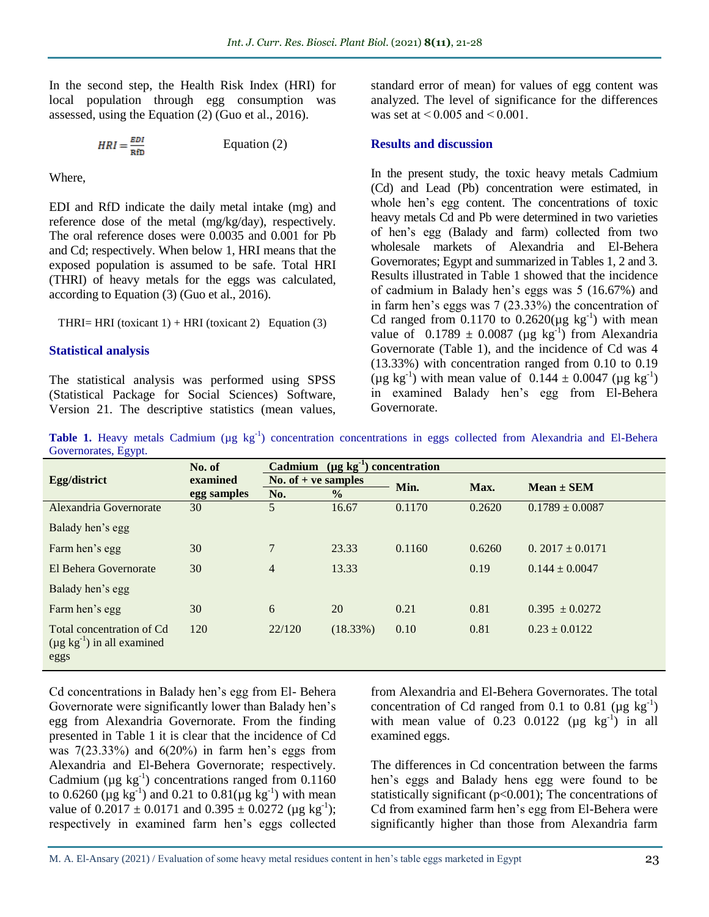In the second step, the Health Risk Index (HRI) for local population through egg consumption was assessed, using the Equation (2) (Guo et al., 2016).

$$
HRI = \frac{EDI}{RfD}
$$
 Equation (2)

Where,

EDI and RfD indicate the daily metal intake (mg) and reference dose of the metal (mg/kg/day), respectively. The oral reference doses were 0.0035 and 0.001 for Pb and Cd; respectively. When below 1, HRI means that the exposed population is assumed to be safe. Total HRI (THRI) of heavy metals for the eggs was calculated, according to Equation (3) (Guo et al., 2016).

#### THRI= HRI (toxicant  $1$ ) + HRI (toxicant 2) Equation (3)

#### **Statistical analysis**

The statistical analysis was performed using SPSS (Statistical Package for Social Sciences) Software, Version 21. The descriptive statistics (mean values, standard error of mean) for values of egg content was analyzed. The level of significance for the differences was set at  $\leq 0.005$  and  $\leq 0.001$ .

#### **Results and discussion**

In the present study, the toxic heavy metals Cadmium (Cd) and Lead (Pb) concentration were estimated, in whole hen's egg content. The concentrations of toxic heavy metals Cd and Pb were determined in two varieties of hen's egg (Balady and farm) collected from two wholesale markets of Alexandria and El-Behera Governorates; Egypt and summarized in Tables 1, 2 and 3. Results illustrated in Table 1 showed that the incidence of cadmium in Balady hen's eggs was 5 (16.67%) and in farm hen's eggs was 7 (23.33%) the concentration of Cd ranged from  $0.1170$  to  $0.2620(\mu g \text{ kg}^{-1})$  with mean value of  $0.1789 \pm 0.0087$  (µg kg<sup>-1</sup>) from Alexandria Governorate (Table 1), and the incidence of Cd was 4 (13.33%) with concentration ranged from 0.10 to 0.19 (µg kg<sup>-1</sup>) with mean value of  $0.144 \pm 0.0047$  (µg kg<sup>-1</sup>) in examined Balady hen's egg from El-Behera Governorate.

Table 1. Heavy metals Cadmium (µg kg<sup>-1</sup>) concentration concentrations in eggs collected from Alexandria and El-Behera Governorates, Egypt.

| ັ້                                                                     | No. of      | $(\mu g \, kg^{-1})$ concentration<br><b>Cadmium</b> |               |        |        |                     |  |
|------------------------------------------------------------------------|-------------|------------------------------------------------------|---------------|--------|--------|---------------------|--|
| Egg/district                                                           | examined    | No. of $+$ ve samples                                |               | Min.   | Max.   | $Mean \pm SEM$      |  |
|                                                                        | egg samples | No.                                                  | $\frac{0}{0}$ |        |        |                     |  |
| Alexandria Governorate                                                 | 30          | 5                                                    | 16.67         | 0.1170 | 0.2620 | $0.1789 \pm 0.0087$ |  |
| Balady hen's egg                                                       |             |                                                      |               |        |        |                     |  |
| Farm hen's egg                                                         | 30          | 7                                                    | 23.33         | 0.1160 | 0.6260 | $0.2017 \pm 0.0171$ |  |
| El Behera Governorate                                                  | 30          | $\overline{4}$                                       | 13.33         |        | 0.19   | $0.144 \pm 0.0047$  |  |
| Balady hen's egg                                                       |             |                                                      |               |        |        |                     |  |
| Farm hen's egg                                                         | 30          | 6                                                    | 20            | 0.21   | 0.81   | $0.395 + 0.0272$    |  |
| Total concentration of Cd<br>$(\mu g kg^{-1})$ in all examined<br>eggs | 120         | 22/120                                               | (18.33%)      | 0.10   | 0.81   | $0.23 \pm 0.0122$   |  |

Cd concentrations in Balady hen's egg from El- Behera Governorate were significantly lower than Balady hen's egg from Alexandria Governorate. From the finding presented in Table 1 it is clear that the incidence of Cd was  $7(23.33\%)$  and  $6(20\%)$  in farm hen's eggs from Alexandria and El-Behera Governorate; respectively. Cadmium ( $\mu$ g kg<sup>-1</sup>) concentrations ranged from 0.1160 to 0.6260 ( $\mu$ g kg<sup>-1</sup>) and 0.21 to 0.81( $\mu$ g kg<sup>-1</sup>) with mean value of  $0.2017 \pm 0.0171$  and  $0.395 \pm 0.0272$  (µg kg<sup>-1</sup>); respectively in examined farm hen's eggs collected

from Alexandria and El-Behera Governorates. The total concentration of Cd ranged from 0.1 to 0.81 ( $\mu$ g kg<sup>-1</sup>) with mean value of  $0.23$   $0.0122$  ( $\mu$ g kg<sup>-1</sup>) in all examined eggs.

The differences in Cd concentration between the farms hen's eggs and Balady hens egg were found to be statistically significant (p<0.001); The concentrations of Cd from examined farm hen's egg from El-Behera were significantly higher than those from Alexandria farm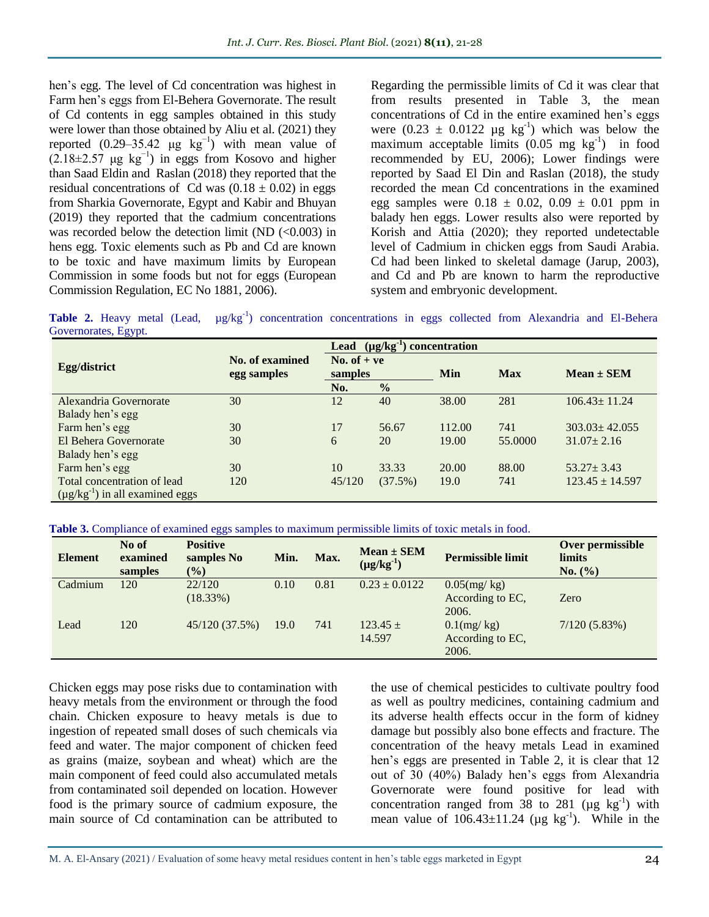hen's egg. The level of Cd concentration was highest in Farm hen's eggs from El-Behera Governorate. The result of Cd contents in egg samples obtained in this study were lower than those obtained by Aliu et al. (2021) they reported  $(0.29-35.42 \text{ µg kg}^{-1})$  with mean value of  $(2.18\pm2.57 \text{ µg kg}^{-1})$  in eggs from Kosovo and higher than Saad Eldin and Raslan (2018) they reported that the residual concentrations of Cd was  $(0.18 \pm 0.02)$  in eggs from Sharkia Governorate, Egypt and Kabir and Bhuyan (2019) they reported that the cadmium concentrations was recorded below the detection limit (ND  $(<0.003$ ) in hens egg. Toxic elements such as Pb and Cd are known to be toxic and have maximum limits by European Commission in some foods but not for eggs (European Commission Regulation, EC No 1881, 2006).

Regarding the permissible limits of Cd it was clear that from results presented in Table 3, the mean concentrations of Cd in the entire examined hen's eggs were  $(0.23 \pm 0.0122 \mu g kg^{-1})$  which was below the maximum acceptable limits  $(0.05 \text{ mg kg}^{-1})$  in food recommended by EU, 2006); Lower findings were reported by Saad El Din and Raslan (2018), the study recorded the mean Cd concentrations in the examined egg samples were  $0.18 \pm 0.02$ ,  $0.09 \pm 0.01$  ppm in balady hen eggs. Lower results also were reported by Korish and Attia (2020); they reported undetectable level of Cadmium in chicken eggs from Saudi Arabia. Cd had been linked to skeletal damage (Jarup, 2003), and Cd and Pb are known to harm the reproductive system and embryonic development.

Table 2. Heavy metal (Lead, µg/kg<sup>-1</sup>) concentration concentrations in eggs collected from Alexandria and El-Behera Governorates, Egypt.

|                                        |                                       | $(\mu g/kg^{-1})$ concentration<br>Lead |               |        |            |                     |  |
|----------------------------------------|---------------------------------------|-----------------------------------------|---------------|--------|------------|---------------------|--|
| Egg/district                           | <b>No. of examined</b><br>egg samples | No. of $+ve$<br>samples                 |               | Min    | <b>Max</b> | $Mean \pm SEM$      |  |
|                                        |                                       | No.                                     | $\frac{0}{0}$ |        |            |                     |  |
| Alexandria Governorate                 | 30                                    | 12                                      | 40            | 38.00  | 281        | $106.43 \pm 11.24$  |  |
| Balady hen's egg                       |                                       |                                         |               |        |            |                     |  |
| Farm hen's egg                         | 30                                    | 17                                      | 56.67         | 112.00 | 741        | $303.03 \pm 42.055$ |  |
| El Behera Governorate                  | 30                                    | 6                                       | 20            | 19.00  | 55,0000    | $31.07 \pm 2.16$    |  |
| Balady hen's egg                       |                                       |                                         |               |        |            |                     |  |
| Farm hen's egg                         | 30                                    | 10                                      | 33.33         | 20.00  | 88.00      | $53.27 \pm 3.43$    |  |
| Total concentration of lead            | 120                                   | 45/120                                  | (37.5%)       | 19.0   | 741        | $123.45 \pm 14.597$ |  |
| $(\mu g/kg^{-1})$ in all examined eggs |                                       |                                         |               |        |            |                     |  |

**Table 3.** Compliance of examined eggs samples to maximum permissible limits of toxic metals in food.

| <b>Element</b> | No of<br>examined<br>samples | <b>Positive</b><br>samples No<br>$($ %) | Min. | Max. | $Mean \pm SEM$<br>$(\mu g/kg^{-1})$ | <b>Permissible limit</b>                    | Over permissible<br><b>limits</b><br>No. (%) |
|----------------|------------------------------|-----------------------------------------|------|------|-------------------------------------|---------------------------------------------|----------------------------------------------|
| Cadmium        | 120                          | 22/120<br>(18.33%)                      | 0.10 | 0.81 | $0.23 \pm 0.0122$                   | $0.05$ (mg/kg)<br>According to EC,<br>2006. | Zero                                         |
| Lead           | 120                          | 45/120 (37.5%)                          | 19.0 | 741  | $123.45 +$<br>14.597                | $0.1$ (mg/kg)<br>According to EC,<br>2006.  | 7/120(5.83%)                                 |

Chicken eggs may pose risks due to contamination with heavy metals from the environment or through the food chain. Chicken exposure to heavy metals is due to ingestion of repeated small doses of such chemicals via feed and water. The major component of chicken feed as grains (maize, soybean and wheat) which are the main component of feed could also accumulated metals from contaminated soil depended on location. However food is the primary source of cadmium exposure, the main source of Cd contamination can be attributed to the use of chemical pesticides to cultivate poultry food as well as poultry medicines, containing cadmium and its adverse health effects occur in the form of kidney damage but possibly also bone effects and fracture. The concentration of the heavy metals Lead in examined hen's eggs are presented in Table 2, it is clear that 12 out of 30 (40%) Balady hen's eggs from Alexandria Governorate were found positive for lead with concentration ranged from  $\overline{38}$  to  $281 \ (\mu g \ kg^{-1})$  with mean value of  $106.43 \pm 11.24$  (µg kg<sup>-1</sup>). While in the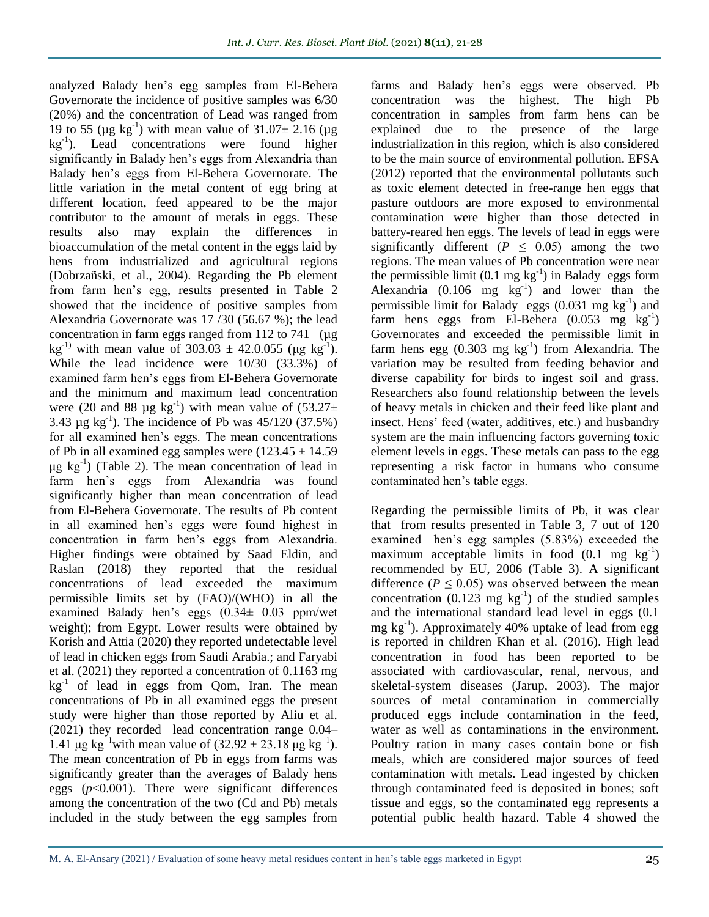analyzed Balady hen's egg samples from El-Behera Governorate the incidence of positive samples was 6/30 (20%) and the concentration of Lead was ranged from 19 to 55 ( $\mu$ g kg<sup>-1</sup>) with mean value of 31.07 $\pm$  2.16 ( $\mu$ g kg-1 ). Lead concentrations were found higher significantly in Balady hen's eggs from Alexandria than Balady hen's eggs from El-Behera Governorate. The little variation in the metal content of egg bring at different location, feed appeared to be the major contributor to the amount of metals in eggs. These results also may explain the differences in bioaccumulation of the metal content in the eggs laid by hens from industrialized and agricultural regions (Dobrzañski, et al., 2004). Regarding the Pb element from farm hen's egg, results presented in Table 2 showed that the incidence of positive samples from Alexandria Governorate was 17 /30 (56.67 %); the lead concentration in farm eggs ranged from 112 to 741 ( $\mu$ g kg<sup>-1)</sup> with mean value of 303.03  $\pm$  42.0.055 (µg kg<sup>-1</sup>). While the lead incidence were 10/30 (33.3%) of examined farm hen's eggs from El-Behera Governorate and the minimum and maximum lead concentration were (20 and 88  $\mu$ g kg<sup>-1</sup>) with mean value of (53.27 $\pm$ 3.43  $\mu$ g kg<sup>-1</sup>). The incidence of Pb was 45/120 (37.5%) for all examined hen's eggs. The mean concentrations of Pb in all examined egg samples were  $(123.45 \pm 14.59$ μg kg-1 ) (Table 2). The mean concentration of lead in farm hen's eggs from Alexandria was found significantly higher than mean concentration of lead from El-Behera Governorate. The results of Pb content in all examined hen's eggs were found highest in concentration in farm hen's eggs from Alexandria. Higher findings were obtained by Saad Eldin, and Raslan (2018) they reported that the residual concentrations of lead exceeded the maximum permissible limits set by (FAO)/(WHO) in all the examined Balady hen's eggs (0.34± 0.03 ppm/wet weight); from Egypt. Lower results were obtained by Korish and Attia (2020) they reported undetectable level of lead in chicken eggs from Saudi Arabia.; and Faryabi et al. (2021) they reported a concentration of 0.1163 mg kg<sup>-1</sup> of lead in eggs from Qom, Iran. The mean concentrations of Pb in all examined eggs the present study were higher than those reported by Aliu et al. (2021) they recorded lead concentration range 0.04– 1.41 μg kg<sup>-1</sup>with mean value of  $(32.92 \pm 23.18 \,\mu g \,\text{kg}^{-1})$ . The mean concentration of Pb in eggs from farms was significantly greater than the averages of Balady hens eggs (*p*<0.001). There were significant differences among the concentration of the two (Cd and Pb) metals included in the study between the egg samples from

farms and Balady hen's eggs were observed. Pb concentration was the highest. The high Pb concentration in samples from farm hens can be explained due to the presence of the large industrialization in this region, which is also considered to be the main source of environmental pollution. EFSA (2012) reported that the environmental pollutants such as toxic element detected in free-range hen eggs that pasture outdoors are more exposed to environmental contamination were higher than those detected in battery-reared hen eggs. The levels of lead in eggs were significantly different ( $P \leq 0.05$ ) among the two regions. The mean values of Pb concentration were near the permissible limit  $(0.1 \text{ mg kg}^{-1})$  in Balady eggs form Alexandria  $(0.106 \text{ mg kg}^{-1})$  and lower than the permissible limit for Balady eggs  $(0.031 \text{ mg kg}^{-1})$  and farm hens eggs from El-Behera  $(0.053 \text{ mg kg}^{-1})$ Governorates and exceeded the permissible limit in farm hens egg  $(0.303 \text{ mg kg}^{-1})$  from Alexandria. The variation may be resulted from feeding behavior and diverse capability for birds to ingest soil and grass. Researchers also found relationship between the levels of heavy metals in chicken and their feed like plant and insect. Hens' feed (water, additives, etc.) and husbandry system are the main influencing factors governing toxic element levels in eggs. These metals can pass to the egg representing a risk factor in humans who consume contaminated hen's table eggs.

Regarding the permissible limits of Pb, it was clear that from results presented in Table 3, 7 out of 120 examined hen's egg samples (5.83%) exceeded the maximum acceptable limits in food  $(0.1 \text{ mg kg}^{-1})$ recommended by EU, 2006 (Table 3). A significant difference ( $P \le 0.05$ ) was observed between the mean concentration  $(0.123 \text{ mg kg}^{-1})$  of the studied samples and the international standard lead level in eggs (0.1  $mg \, kg^{-1}$ ). Approximately 40% uptake of lead from egg is reported in children Khan et al. (2016). High lead concentration in food has been reported to be associated with cardiovascular, renal, nervous, and skeletal-system diseases (Jarup, 2003). The major sources of metal contamination in commercially produced eggs include contamination in the feed, water as well as contaminations in the environment. Poultry ration in many cases contain bone or fish meals, which are considered major sources of feed contamination with metals. Lead ingested by chicken through contaminated feed is deposited in bones; soft tissue and eggs, so the contaminated egg represents a potential public health hazard. Table 4 showed the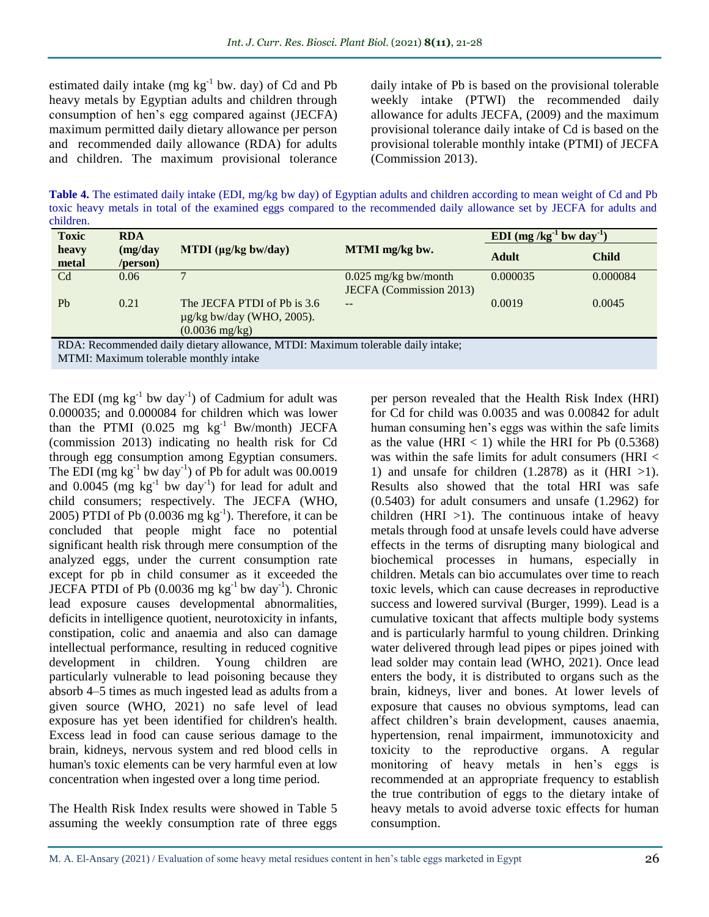estimated daily intake  $(mg kg<sup>-1</sup> bw. day)$  of Cd and Pb heavy metals by Egyptian adults and children through consumption of hen's egg compared against (JECFA) maximum permitted daily dietary allowance per person and recommended daily allowance (RDA) for adults and children. The maximum provisional tolerance

daily intake of Pb is based on the provisional tolerable weekly intake (PTWI) the recommended daily allowance for adults JECFA, (2009) and the maximum provisional tolerance daily intake of Cd is based on the provisional tolerable monthly intake (PTMI) of JECFA (Commission 2013).

**Table 4.** The estimated daily intake (EDI, mg/kg bw day) of Egyptian adults and children according to mean weight of Cd and Pb toxic heavy metals in total of the examined eggs compared to the recommended daily allowance set by JECFA for adults and children.

| heavy<br>metal         | (mg/day)<br>/person) | MTDI $(\mu g/kg$ bw/day)                                                                  | MTMI mg/kg bw.                                           |              |              |
|------------------------|----------------------|-------------------------------------------------------------------------------------------|----------------------------------------------------------|--------------|--------------|
|                        |                      |                                                                                           |                                                          | <b>Adult</b> | <b>Child</b> |
| C <sub>d</sub>         | 0.06                 |                                                                                           | $0.025$ mg/kg bw/month<br><b>JECFA</b> (Commission 2013) | 0.000035     | 0.000084     |
| P <sub>b</sub><br>0.21 |                      | The JECFA PTDI of Pb is 3.6<br>$\mu$ g/kg bw/day (WHO, 2005).<br>$(0.0036 \text{ mg/kg})$ | $- -$                                                    | 0.0019       | 0.0045       |

RDA: Recommended daily dietary allowance, MTDI: Maximum tolerable daily intake; MTMI: Maximum tolerable monthly intake

The EDI (mg  $kg^{-1}$  bw day<sup>-1</sup>) of Cadmium for adult was 0.000035; and 0.000084 for children which was lower than the PTMI  $(0.025 \text{ mg kg}^{-1} \text{ Bw/month})$  JECFA (commission 2013) indicating no health risk for Cd through egg consumption among Egyptian consumers. The EDI (mg  $kg^{-1}$  bw day<sup>-1</sup>) of Pb for adult was 00.0019 and  $0.0045$  (mg  $\text{kg}^{-1}$  bw day<sup>-1</sup>) for lead for adult and child consumers; respectively. The JECFA (WHO, 2005) PTDI of Pb  $(0.0036 \text{ mg kg}^{-1})$ . Therefore, it can be concluded that people might face no potential significant health risk through mere consumption of the analyzed eggs, under the current consumption rate except for pb in child consumer as it exceeded the JECFA PTDI of Pb  $(0.0036 \text{ mg kg}^{-1}$  bw day<sup>-1</sup>). Chronic lead exposure causes developmental abnormalities, deficits in intelligence quotient, neurotoxicity in infants, constipation, colic and anaemia and also can damage intellectual performance, resulting in reduced cognitive development in children. Young children are particularly vulnerable to lead poisoning because they absorb 4–5 times as much ingested lead as adults from a given source (WHO, 2021) no safe level of lead exposure has yet been identified for children's health. Excess lead in food can cause serious damage to the brain, kidneys, nervous system and red blood cells in human's toxic elements can be very harmful even at low concentration when ingested over a long time period.

The Health Risk Index results were showed in Table 5 assuming the weekly consumption rate of three eggs per person revealed that the Health Risk Index (HRI) for Cd for child was 0.0035 and was 0.00842 for adult human consuming hen's eggs was within the safe limits as the value (HRI  $<$  1) while the HRI for Pb (0.5368) was within the safe limits for adult consumers (HRI < 1) and unsafe for children  $(1.2878)$  as it  $(HRI >1)$ . Results also showed that the total HRI was safe (0.5403) for adult consumers and unsafe (1.2962) for children (HRI  $>1$ ). The continuous intake of heavy metals through food at unsafe levels could have adverse effects in the terms of disrupting many biological and biochemical processes in humans, especially in children. Metals can bio accumulates over time to reach toxic levels, which can cause decreases in reproductive success and lowered survival (Burger, 1999). Lead is a cumulative toxicant that affects multiple body systems and is particularly harmful to young children. Drinking water delivered through lead pipes or pipes joined with lead solder may contain lead (WHO, 2021). Once lead enters the body, it is distributed to organs such as the brain, kidneys, liver and bones. At lower levels of exposure that causes no obvious symptoms, lead can affect children's brain development, causes anaemia, hypertension, renal impairment, immunotoxicity and toxicity to the reproductive organs. A regular monitoring of heavy metals in hen's eggs is recommended at an appropriate frequency to establish the true contribution of eggs to the dietary intake of heavy metals to avoid adverse toxic effects for human consumption.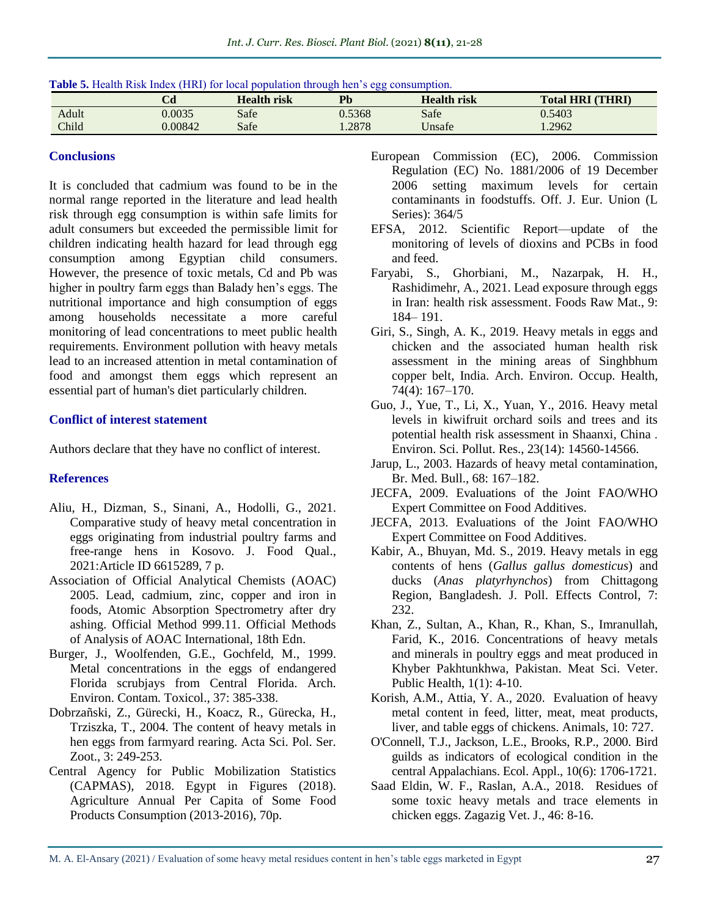|       | Cd      | Health risk | Pb     | <b>Health risk</b> | <b>Total HRI (THRI)</b> |
|-------|---------|-------------|--------|--------------------|-------------------------|
| Adult | 0.0035  | Safe        | 0.5368 | Safe               | 0.5403                  |
| Child | 0.00842 | Safe        | .2878  | ∪nsafe             | .2962                   |

### **Conclusions**

It is concluded that cadmium was found to be in the normal range reported in the literature and lead health risk through egg consumption is within safe limits for adult consumers but exceeded the permissible limit for children indicating health hazard for lead through egg consumption among Egyptian child consumers. However, the presence of toxic metals, Cd and Pb was higher in poultry farm eggs than Balady hen's eggs. The nutritional importance and high consumption of eggs among households necessitate a more careful monitoring of lead concentrations to meet public health requirements. Environment pollution with heavy metals lead to an increased attention in metal contamination of food and amongst them eggs which represent an essential part of human's diet particularly children.

# **Conflict of interest statement**

Authors declare that they have no conflict of interest.

# **References**

- Aliu, H., Dizman, S., Sinani, A., Hodolli, G., 2021. Comparative study of heavy metal concentration in eggs originating from industrial poultry farms and free-range hens in Kosovo. J. Food Qual., 2021:Article ID 6615289, 7 p.
- Association of Official Analytical Chemists (AOAC) 2005. Lead, cadmium, zinc, copper and iron in foods, Atomic Absorption Spectrometry after dry ashing. Official Method 999.11. Official Methods of Analysis of AOAC International, 18th Edn.
- Burger, J., Woolfenden, G.E., Gochfeld, M., 1999. Metal concentrations in the eggs of endangered Florida scrubjays from Central Florida. Arch. Environ. Contam. Toxicol., 37: 385-338.
- Dobrzañski, Z., Gürecki, H., Koacz, R., Gürecka, H., Trziszka, T., 2004. The content of heavy metals in hen eggs from farmyard rearing. Acta Sci. Pol. Ser. Zoot., 3: 249-253.
- Central Agency for Public Mobilization Statistics (CAPMAS), 2018. Egypt in Figures (2018). Agriculture Annual Per Capita of Some Food Products Consumption (2013-2016), 70p.
- European Commission (EC), 2006. Commission Regulation (EC) No. 1881/2006 of 19 December 2006 setting maximum levels for certain contaminants in foodstuffs. Off. J. Eur. Union (L Series): 364/5
- EFSA, 2012. Scientific Report—update of the monitoring of levels of dioxins and PCBs in food and feed.
- Faryabi, S., Ghorbiani, M., Nazarpak, H. H., Rashidimehr, A., 2021. Lead exposure through eggs in Iran: health risk assessment. Foods Raw Mat., 9: 184– 191.
- Giri, S., Singh, A. K., 2019. Heavy metals in eggs and chicken and the associated human health risk assessment in the mining areas of Singhbhum copper belt, India. Arch. Environ. Occup. Health, 74(4): 167–170.
- Guo, J., Yue, T., Li, X., Yuan, Y., 2016. Heavy metal levels in kiwifruit orchard soils and trees and its potential health risk assessment in Shaanxi, China . Environ. Sci. Pollut. Res., 23(14): 14560-14566.
- Jarup, L., 2003. Hazards of heavy metal contamination, Br. Med. Bull., 68: 167–182.
- JECFA, 2009. Evaluations of the Joint FAO/WHO Expert Committee on Food Additives.
- [JECFA, 2013. Evaluations of the Joint FAO/WHO](https://apps.who.int/food-additives-contaminants-jecfa-database/Default.aspx)  [Expert Committee on Food Additives.](https://apps.who.int/food-additives-contaminants-jecfa-database/Default.aspx)
- Kabir, A., Bhuyan, Md. S., 2019. Heavy metals in egg contents of hens (*Gallus gallus domesticus*) and ducks (*Anas platyrhynchos*) from Chittagong Region, Bangladesh. J. Poll. Effects Control, 7: 232.
- Khan, Z., Sultan, A., Khan, R., Khan, S., Imranullah, Farid, K., 2016. Concentrations of heavy metals and minerals in poultry eggs and meat produced in Khyber Pakhtunkhwa, Pakistan. Meat Sci. Veter. Public Health, 1(1): 4-10.
- Korish, A.M., Attia, Y. A., 2020. Evaluation of heavy metal content in feed, litter, meat, meat products, liver, and table eggs of chickens. Animals, 10: 727.
- O'Connell, T.J., Jackson, L.E., Brooks, R.P., 2000. Bird guilds as indicators of ecological condition in the central Appalachians. Ecol. Appl., 10(6): 1706-1721.
- Saad Eldin, W. F., Raslan, A.A., 2018. Residues of some toxic heavy metals and trace elements in chicken eggs. Zagazig Vet. J., 46: 8-16.